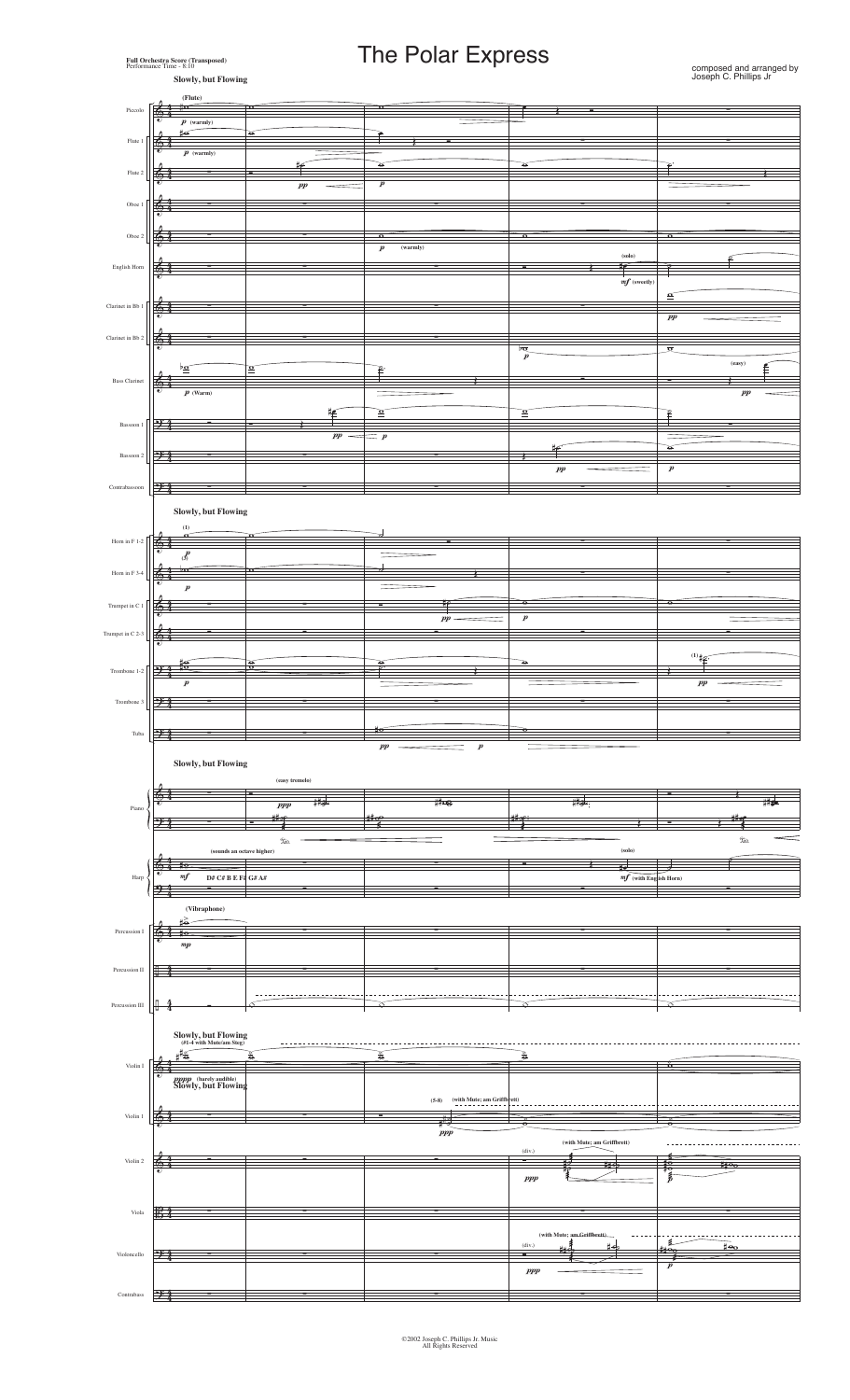

**Full Orchestra Score (Transposed)** Performance Time - 8:10

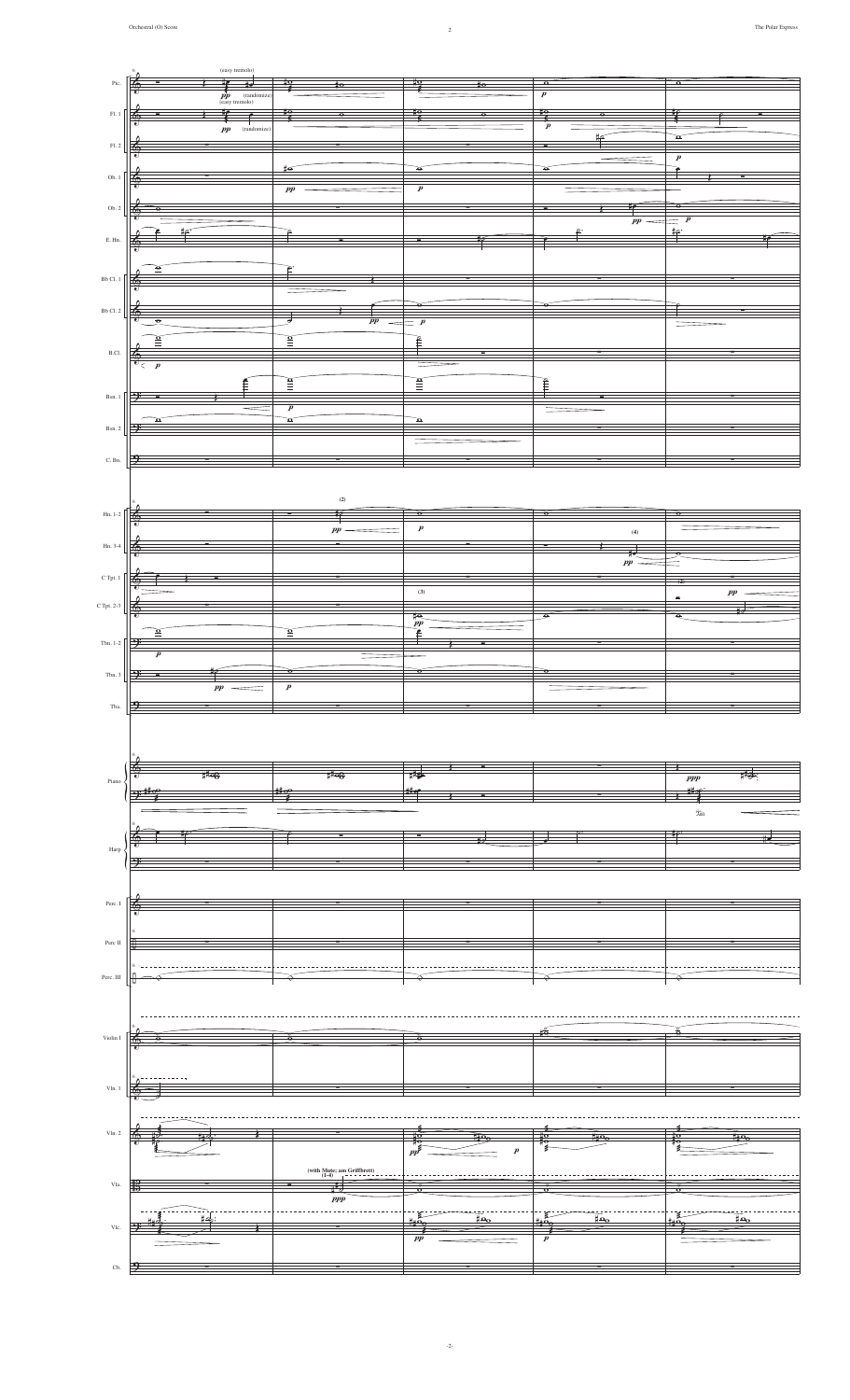| $\operatorname{Pic}.$ | (easy tremolo)<br>ţ<br>$\overline{\bullet}$     | ‡¤<br>‡o.                                                                       | ‡e<br>≹<br>$\frac{1}{2}$       | $\overline{\bullet}$                      | $\bullet$                                     |
|-----------------------|-------------------------------------------------|---------------------------------------------------------------------------------|--------------------------------|-------------------------------------------|-----------------------------------------------|
|                       | $\boldsymbol{pp}$ (randomize)<br>(easy tremolo) |                                                                                 |                                | $\overline{p}$                            |                                               |
| $\rm{Fl.}$ $1$        | ķ<br>⇁<br><b>6</b>                              | វុច                                                                             | $\frac{40}{5}$                 | $\frac{1}{\frac{4p}{p}}$                  |                                               |
|                       | $pp$ (randomize)                                |                                                                                 |                                |                                           |                                               |
| $\rm{Fl.}$ 2          |                                                 |                                                                                 |                                |                                           | $\bullet$                                     |
|                       |                                                 |                                                                                 |                                |                                           | $\overline{p}$                                |
| $\mbox{Ob.}~1$        |                                                 | ‡⊕                                                                              | $\bullet$                      | $\bullet$                                 |                                               |
|                       | 6                                               | $p\bar{p}$                                                                      | $\overline{p}$                 |                                           |                                               |
| Ob. 2                 |                                                 |                                                                                 |                                |                                           |                                               |
|                       | 6                                               |                                                                                 |                                | $pp -$                                    |                                               |
| $E$ . Hn.             | Цø                                              | ₽                                                                               |                                |                                           | $\frac{p}{p}$                                 |
|                       |                                                 |                                                                                 |                                |                                           |                                               |
|                       |                                                 |                                                                                 |                                |                                           |                                               |
| $\rm{Bb}$ Cl. $1$     | Ġ                                               | Ê                                                                               |                                |                                           |                                               |
|                       | $\overline{\bullet}$                            |                                                                                 |                                |                                           |                                               |
| $\rm{Bb}$ Cl. $2$     | $\bullet$                                       |                                                                                 | ۰                              |                                           |                                               |
|                       | $\sigma$                                        | $\frac{1}{pp}$<br>₹                                                             | $=$ $p$                        |                                           |                                               |
|                       | $\mathbf{a}$                                    | $\frac{a}{\Box}$                                                                | $\hat{F}$                      |                                           |                                               |
| $_{\rm B. Cl.}$       |                                                 |                                                                                 |                                |                                           |                                               |
|                       | $\bigcirc \atop{\mathcal{O}_{\leq p}}$          |                                                                                 |                                |                                           |                                               |
|                       | Ē                                               | $\frac{e}{\equiv}$                                                              | $\frac{e}{\equiv}$             | Ê                                         |                                               |
| Bsn.1                 | Ð                                               |                                                                                 |                                |                                           |                                               |
|                       |                                                 | $\overline{p}$<br>$\bullet$                                                     | $\bullet$                      |                                           |                                               |
| Bsn. 2                | ⇒                                               |                                                                                 |                                |                                           |                                               |
|                       |                                                 |                                                                                 |                                |                                           |                                               |
| $C.$ Bn.              | €                                               |                                                                                 |                                |                                           |                                               |
|                       |                                                 |                                                                                 |                                |                                           |                                               |
|                       |                                                 |                                                                                 |                                |                                           |                                               |
|                       |                                                 | $\left( 2\right)$<br>#e                                                         |                                |                                           |                                               |
| $Hn. 1-2$             | $\blacklozenge$<br>$\bullet$                    |                                                                                 | $\sigma$<br>$\boldsymbol{p}$   | $\sigma$                                  | $\mathbf{o}$                                  |
|                       |                                                 | $p\bar{p}$                                                                      |                                | $(4)$                                     |                                               |
| Hn. 3-4               | $\epsilon$                                      |                                                                                 |                                | $\frac{1}{pp}$                            | $\sigma$                                      |
|                       |                                                 |                                                                                 |                                |                                           |                                               |
| $\mathrm{C}$ Tpt. 1   | $\bullet$<br>$\overline{\bullet}$               |                                                                                 |                                |                                           | (2)                                           |
|                       |                                                 |                                                                                 | $\frac{1}{(3)}$                |                                           | $p\bar{p}$<br>$\blacksquare$                  |
| $\mathrm{C}$ Tpt. 2-3 | $\blacklozenge$<br>e)                           |                                                                                 |                                | $\overline{\bullet}$                      | $\overline{\bullet}$                          |
|                       | $\overline{\sigma}$                             | $\overline{\sigma}$                                                             |                                |                                           |                                               |
| Tbn. $1-2$            | E)                                              |                                                                                 | ±                              |                                           |                                               |
|                       | $\overline{p}$                                  |                                                                                 |                                |                                           |                                               |
| Tbn. $3$              | $\Theta$                                        | $\Omega$                                                                        | $\Omega$                       | $\Omega$                                  |                                               |
|                       | $p\hspace{-0.5mm}p$<br>$=$                      |                                                                                 |                                |                                           |                                               |
|                       |                                                 | $\boldsymbol{p}$                                                                |                                |                                           |                                               |
|                       | €                                               |                                                                                 |                                |                                           |                                               |
| Tba.                  |                                                 |                                                                                 |                                |                                           |                                               |
|                       |                                                 |                                                                                 |                                |                                           |                                               |
|                       |                                                 |                                                                                 |                                |                                           |                                               |
|                       |                                                 |                                                                                 |                                |                                           |                                               |
| Piano                 | $\blacklozenge$<br>‡‡ <del>o</del> 8            | ‡‡ <del>o</del> 8                                                               |                                |                                           | 拂多<br>ppp                                     |
|                       | -9                                              | 豐                                                                               |                                |                                           | صللا                                          |
|                       |                                                 |                                                                                 |                                |                                           |                                               |
|                       |                                                 |                                                                                 |                                |                                           | $\mathcal{R}\text{a}$                         |
|                       |                                                 |                                                                                 |                                |                                           |                                               |
| $_{\rm Harp}$         |                                                 |                                                                                 |                                |                                           |                                               |
|                       |                                                 |                                                                                 |                                |                                           |                                               |
|                       |                                                 |                                                                                 |                                |                                           |                                               |
| Perc. I               | $\blacklozenge$                                 |                                                                                 |                                |                                           |                                               |
|                       | ¢.                                              |                                                                                 |                                |                                           |                                               |
|                       |                                                 |                                                                                 |                                |                                           |                                               |
| Perc II               |                                                 |                                                                                 |                                |                                           |                                               |
|                       |                                                 |                                                                                 |                                |                                           |                                               |
| Perc. III             | TU                                              |                                                                                 |                                |                                           |                                               |
|                       |                                                 |                                                                                 |                                |                                           |                                               |
|                       |                                                 |                                                                                 |                                |                                           |                                               |
|                       |                                                 |                                                                                 |                                |                                           |                                               |
| $\rm Violin$ I        |                                                 |                                                                                 | ۰                              | ‡≏                                        |                                               |
|                       |                                                 |                                                                                 |                                |                                           |                                               |
|                       |                                                 |                                                                                 |                                |                                           |                                               |
| Vln.1                 |                                                 |                                                                                 |                                |                                           |                                               |
|                       |                                                 |                                                                                 |                                |                                           |                                               |
|                       |                                                 |                                                                                 |                                |                                           |                                               |
| Vln. 2                |                                                 |                                                                                 |                                |                                           |                                               |
|                       | 肼<br>₩                                          |                                                                                 | <b>Hoo</b><br>$\boldsymbol{p}$ | <b>Tio</b><br>$\frac{1}{4}$ $\frac{1}{2}$ | <b>MOOM</b><br>$\frac{4}{3}$                  |
|                       |                                                 |                                                                                 | 壽                              |                                           |                                               |
|                       |                                                 | $\begin{array}{c} \text{(with Mute; am Griffithet)}\\ \text{(1-4)} \end{array}$ |                                |                                           |                                               |
| Vla.                  | ⋕                                               | #3                                                                              |                                | ô                                         |                                               |
|                       |                                                 | $ppp\,$                                                                         |                                |                                           |                                               |
| $_{\rm Vlc.}$         |                                                 |                                                                                 | $\frac{1}{2}$                  | $\frac{1}{\sqrt{2}}$<br>$\frac{1}{4}$     | $\frac{2}{100}$<br>$\sharp\mathbf{e}_0$<br>ź. |
|                       |                                                 |                                                                                 | $\frac{1}{p}$                  | $\boldsymbol{p}$                          |                                               |
| $_{\rm Cb.}$          | $\mathbf{P}$                                    |                                                                                 |                                |                                           |                                               |

 $\overline{2}$ 

Orchestral (O) Score

 $-2$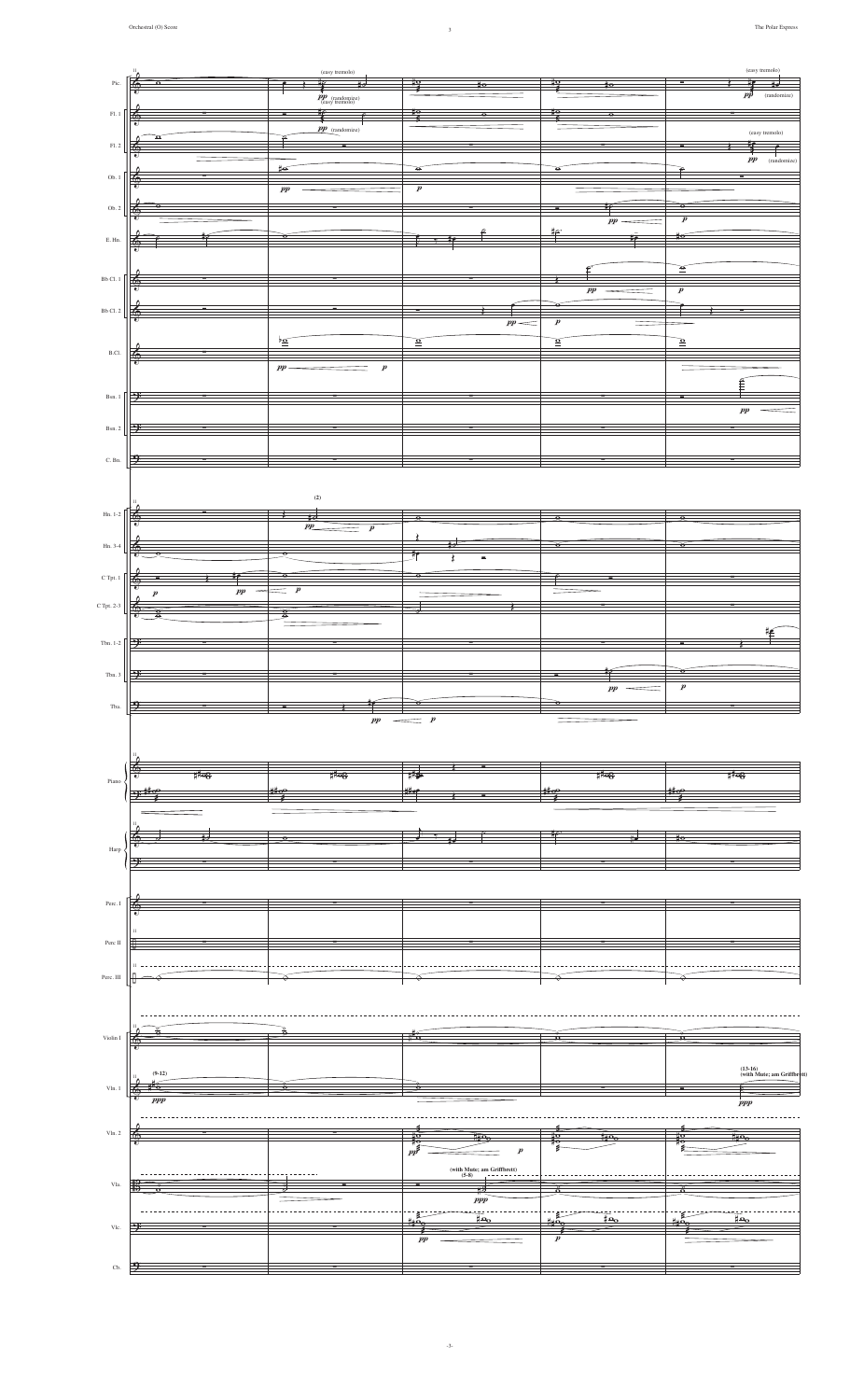| v | ar Hy |
|---|-------|
|   |       |

| $11_{\alpha}$                         |                         | $\left( \text{easy tremolo} \right)$      |                                               |                                         | (easy tremolo)                                                                          |
|---------------------------------------|-------------------------|-------------------------------------------|-----------------------------------------------|-----------------------------------------|-----------------------------------------------------------------------------------------|
| $\operatorname{Pic}.$<br>⊕            |                         |                                           | 弩<br>‡o                                       | 12<br>‡Ω                                | te.<br>$\frac{1}{pp}$<br>(randomize)                                                    |
|                                       |                         | $\mathbf{p}_{\textrm{(easy trandonize)}}$ |                                               |                                         |                                                                                         |
| $\rm{Fl.}$ $1$<br>$\overline{6}$<br>٠ |                         |                                           | $\frac{1}{2}$                                 | $\frac{1}{2}$<br>Θ                      |                                                                                         |
|                                       |                         | $pp$ (randomize)                          |                                               |                                         | $\left( \text{easy tremolo}\right)$<br>誓                                                |
| $\rm{Fl.}$ $2$<br>6                   |                         |                                           |                                               |                                         | pp                                                                                      |
|                                       |                         | $\sharp\bullet$                           | $\bullet$                                     | $\bullet$                               | (randomize)                                                                             |
| Ob.1<br>6                             |                         | $p\bar{p}$                                | $\overline{p}$                                |                                         |                                                                                         |
|                                       | ۰                       |                                           |                                               |                                         |                                                                                         |
| Ob. 2<br>€                            |                         |                                           |                                               | 耙<br>×<br>$p\bar{p}$                    | $\overline{\bullet}$<br>$\overline{p}$                                                  |
|                                       |                         | $\sigma$                                  |                                               | 芈                                       | $\frac{1}{2}$                                                                           |
| E. Hn.<br>⊚                           |                         |                                           |                                               |                                         |                                                                                         |
|                                       |                         |                                           |                                               |                                         | $\bullet$                                                                               |
| $\rm{Bb}$ Cl. $1$<br>$\overline{6}$   |                         |                                           |                                               | ł                                       |                                                                                         |
| $\overline{\bullet}$                  |                         |                                           |                                               | $\overline{pp}$                         | $\overline{p}$                                                                          |
| $\rm{Bb}$ Cl. $2$<br>$\Theta$         |                         |                                           |                                               | $\bullet$                               |                                                                                         |
| $\overline{\bullet}$                  |                         |                                           | $pp \ll$                                      | $\overline{p}$                          |                                                                                         |
|                                       |                         | $\overline{\mathbf{p}}$                   | $\overline{\sigma}$                           | $\overline{\sigma}$                     | $\overline{\sigma}$                                                                     |
| B.Cl.<br>$\frac{6}{3}$                |                         |                                           |                                               |                                         |                                                                                         |
|                                       |                         | $\pmb{p}$<br>pp                           |                                               |                                         |                                                                                         |
|                                       |                         |                                           |                                               |                                         | É                                                                                       |
| Ð<br>Bsn. 1                           |                         |                                           |                                               |                                         |                                                                                         |
|                                       |                         |                                           |                                               |                                         | $p\hspace{-0.5mm}p$                                                                     |
| Bsn. 2<br>Ÿ                           |                         |                                           |                                               |                                         |                                                                                         |
|                                       |                         |                                           |                                               |                                         |                                                                                         |
| $C.$ Bn.<br>∋                         |                         |                                           |                                               |                                         |                                                                                         |
|                                       |                         |                                           |                                               |                                         |                                                                                         |
|                                       |                         | $\left( 2\right)$                         |                                               |                                         |                                                                                         |
| $Hn. 1-2$<br>$\epsilon$               |                         |                                           |                                               |                                         |                                                                                         |
| $\bullet$                             |                         | ₹d.<br>pp<br>$\overline{p}$<br>E.         |                                               | क़                                      | ন                                                                                       |
| Hn. 3-4                               |                         |                                           | .ط‡                                           | $\sigma$                                | $\circ$                                                                                 |
| Ġ<br>$\bullet$                        | $\overline{\mathbf{C}}$ | $\sigma$                                  | 訲<br>¥<br>$\blacksquare$                      |                                         |                                                                                         |
|                                       | ÷۴                      | ⊕                                         |                                               |                                         |                                                                                         |
| $\mathrm{C}$ Tpt. 1<br>$\ddot{\circ}$ | pp                      | $=$ $p$                                   |                                               |                                         |                                                                                         |
| $\mathrm{C}$ Tpt. 2-3<br>$\bullet$    | $\boldsymbol{p}$        |                                           |                                               |                                         |                                                                                         |
| $\bullet$                             | ভূ                      | $\frac{0}{9}$                             |                                               |                                         |                                                                                         |
|                                       |                         |                                           |                                               |                                         | 丰                                                                                       |
| $\mathbf{P}$<br>Tbn. 1-2              |                         |                                           |                                               |                                         |                                                                                         |
|                                       |                         |                                           |                                               |                                         |                                                                                         |
| Þ<br>Tbn. 3                           |                         |                                           |                                               |                                         |                                                                                         |
|                                       |                         |                                           |                                               |                                         | $\overline{\mathbf{o}}$                                                                 |
|                                       |                         |                                           |                                               | $pp \hspace{2mm}$                       | $\boldsymbol{p}$                                                                        |
| ⋺<br>Tba.                             |                         |                                           | $\sigma$                                      |                                         |                                                                                         |
|                                       |                         | pp                                        | $=$ $\frac{p}{2}$                             |                                         |                                                                                         |
|                                       |                         |                                           |                                               |                                         |                                                                                         |
|                                       |                         |                                           |                                               |                                         |                                                                                         |
| $\epsilon$<br>٠<br>Piano              | इंग्लिस                 | #न्ध                                      | TIS                                           | #लि                                     | #लि                                                                                     |
| ∍                                     |                         | #loe                                      |                                               | #loº<br>ᢦ                               | #lo9                                                                                    |
|                                       |                         |                                           |                                               |                                         |                                                                                         |
|                                       |                         |                                           |                                               |                                         |                                                                                         |
| fe                                    |                         | $\Omega$                                  | ×                                             |                                         | $\frac{1}{2}$                                                                           |
| Harp                                  |                         |                                           |                                               |                                         |                                                                                         |
| ⇒                                     |                         |                                           |                                               |                                         |                                                                                         |
|                                       |                         |                                           |                                               |                                         |                                                                                         |
| Perc. I<br>$\epsilon$                 |                         |                                           |                                               |                                         |                                                                                         |
| ٠                                     |                         |                                           |                                               |                                         |                                                                                         |
|                                       |                         |                                           |                                               |                                         |                                                                                         |
| Perc II                               |                         |                                           |                                               |                                         |                                                                                         |
|                                       |                         |                                           |                                               |                                         |                                                                                         |
| $\mbox{Perc.}\,\Pi\hbox{I}$<br>ℸ      |                         |                                           |                                               |                                         |                                                                                         |
|                                       |                         |                                           |                                               |                                         |                                                                                         |
|                                       |                         |                                           |                                               |                                         |                                                                                         |
|                                       |                         |                                           |                                               |                                         |                                                                                         |
| Violin I                              |                         |                                           | #°o                                           | $\alpha$                                | $\mathbf{\sigma}$                                                                       |
|                                       |                         |                                           |                                               |                                         |                                                                                         |
|                                       | $(9-12)$                |                                           |                                               |                                         |                                                                                         |
| Vln.1                                 |                         | $\mathbf o$                               | $\dot{\mathbf{\sigma}}$                       |                                         |                                                                                         |
| e)                                    | ppp                     |                                           |                                               |                                         | ppp                                                                                     |
|                                       |                         |                                           |                                               |                                         | $\begin{array}{c} \textbf{(13-16)} \\ \textbf{(with Mute; am Griffithett)} \end{array}$ |
| Vln.2<br>6                            |                         |                                           | $\mathbb{H}_{\mathcal{D}}$                    | ‡o.<br>‡‡‰                              | to.<br>‡‡∞                                                                              |
| ē                                     |                         |                                           | 搞<br>$p\bar{\tilde{p}}$<br>$\boldsymbol{p}$   | ø                                       | ź                                                                                       |
|                                       |                         |                                           |                                               |                                         |                                                                                         |
| Vla.                                  |                         |                                           | (with Mute; am Griffbrett)<br>$(5-8)$         |                                         |                                                                                         |
| 书                                     |                         |                                           | g.<br>$ppp\,$                                 |                                         |                                                                                         |
|                                       |                         |                                           | $\cdot$ = = $\cdot$                           |                                         | ٤                                                                                       |
| C)<br>Vlc.                            |                         |                                           | $\frac{1}{\sqrt{2}}$<br>#o <sub>o</sub><br>-3 | $\frac{2}{100}$<br>$\sharp\mathbf{e}_0$ | $#e_0$<br>$\mathbb{H}^{\mathbf{o}_0}$                                                   |
|                                       |                         |                                           | $p\hspace{-0.5mm}p$                           | $\boldsymbol{p}$                        |                                                                                         |
| $_{\mathrm{Cb.}}$<br>C)               |                         |                                           |                                               |                                         |                                                                                         |

 $\overline{\mathbf{3}}$ 

Orchestral $\left( 0\right)$  Score

 $-3-$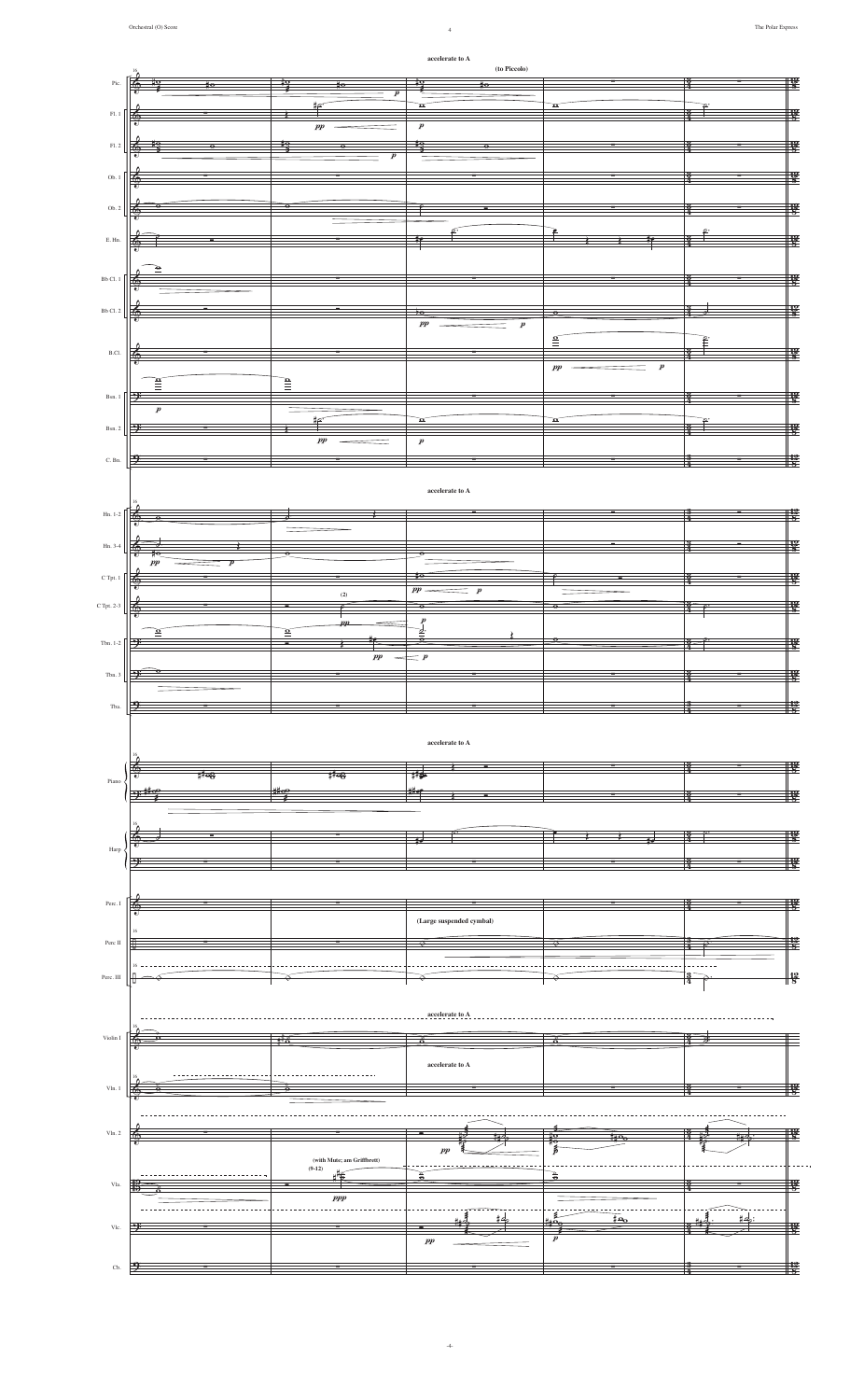## accelerate to A  $$\rm (to\ Piccolo$)$

 $4<sup>1</sup>$ 

|                          |                      |                                      | (to Piccolo)                                              |                                         |                                 |
|--------------------------|----------------------|--------------------------------------|-----------------------------------------------------------|-----------------------------------------|---------------------------------|
| $_{\rm Pic.}$            | $\frac{1}{2}$        | 弩<br>‡Ω                              | <b>P</b><br>$\frac{1}{2}$                                 |                                         | $\frac{12}{8}$                  |
|                          |                      | $\overline{p}$<br>фé                 | $\bullet$                                                 | $\bullet$                               |                                 |
| $\rm{Fl.}$ $1$           |                      |                                      |                                                           |                                         | $\frac{12}{8}$                  |
|                          |                      | $\overline{pp}$                      | $\overline{p}$                                            |                                         |                                 |
| FL.2                     |                      |                                      | ₫€                                                        |                                         | $\frac{12}{3}$                  |
|                          |                      | $\overline{p}$                       |                                                           |                                         |                                 |
| Ob.1                     |                      |                                      |                                                           |                                         | $\frac{12}{3}$                  |
|                          |                      |                                      |                                                           |                                         |                                 |
|                          |                      |                                      |                                                           |                                         |                                 |
| Ob. 2                    |                      | ۰                                    |                                                           |                                         | $\frac{12}{8}$                  |
|                          |                      |                                      | p                                                         |                                         |                                 |
| ${\rm E.}$ Hn.           |                      |                                      |                                                           |                                         | $\frac{12}{8}$                  |
|                          |                      |                                      |                                                           |                                         |                                 |
|                          |                      |                                      |                                                           |                                         |                                 |
| $\bar{\rm Bb}$ Cl. $1$   |                      |                                      |                                                           |                                         | $\frac{12}{3}$                  |
|                          |                      |                                      |                                                           |                                         |                                 |
| $\rm{Bb}$ Cl. $2$        |                      |                                      |                                                           |                                         | $\frac{12}{8}$                  |
| 6                        |                      |                                      | 20.<br>pp<br>$\boldsymbol{p}$<br>$\overline{\phantom{0}}$ | $\bullet$                               |                                 |
|                          |                      |                                      |                                                           |                                         |                                 |
|                          |                      |                                      |                                                           | $\frac{\mathbf{a}}{\equiv}$             | $\hat{f}$                       |
| $_{\rm B,Cl.}$<br>¢      |                      |                                      |                                                           |                                         | $\frac{1}{8}$                   |
|                          |                      |                                      |                                                           | $\boldsymbol{p}$<br>pp                  |                                 |
|                          | $\frac{6}{1}$        | $\frac{e}{1}$                        |                                                           |                                         |                                 |
| $_{\rm Bsn. \ 1}$<br>€   |                      |                                      |                                                           |                                         | 懌                               |
|                          |                      |                                      |                                                           |                                         |                                 |
| Bsn. 2                   |                      | $\frac{4e}{1}$                       | $\bullet$                                                 | $\ddot{\bullet}$                        | $\frac{12}{8}$                  |
|                          |                      | $\overline{pp}$                      | $\overline{p}$                                            |                                         |                                 |
|                          |                      |                                      |                                                           |                                         |                                 |
|                          |                      |                                      |                                                           |                                         | 懌<br>B                          |
|                          |                      |                                      |                                                           |                                         |                                 |
|                          |                      |                                      | accelerate to ${\bf A}$                                   |                                         |                                 |
|                          |                      |                                      |                                                           |                                         |                                 |
|                          |                      |                                      |                                                           |                                         | $\frac{12}{8}$                  |
|                          |                      |                                      |                                                           |                                         |                                 |
|                          |                      |                                      |                                                           |                                         | ₩                               |
|                          |                      |                                      |                                                           |                                         |                                 |
|                          | pp<br>$\overline{p}$ |                                      |                                                           |                                         |                                 |
|                          |                      |                                      | $\frac{1}{2}$ $\circ$                                     |                                         | 攫                               |
|                          |                      | $(2)$                                | $\overline{pp}$<br>$=$ $\frac{p}{p}$                      |                                         |                                 |
| $\bullet$                |                      |                                      |                                                           |                                         | $\frac{12}{8}$                  |
|                          |                      | $_{pp}$                              |                                                           |                                         |                                 |
|                          | $\overline{\sigma}$  | $\overline{\sigma}$                  | $\frac{p}{\underline{p}}$ .                               |                                         |                                 |
|                          |                      |                                      |                                                           |                                         | $\frac{12}{8}$                  |
|                          |                      | pp                                   | $\equiv p$                                                |                                         |                                 |
| →                        | $\mathbf{\Omega}$    |                                      |                                                           |                                         |                                 |
|                          |                      |                                      |                                                           |                                         | $\frac{12}{8}$                  |
|                          |                      |                                      |                                                           |                                         |                                 |
| ⇒                        |                      |                                      |                                                           |                                         |                                 |
|                          |                      |                                      |                                                           |                                         |                                 |
|                          |                      |                                      | accelerate to ${\bf A}$                                   |                                         |                                 |
|                          |                      |                                      |                                                           |                                         |                                 |
|                          |                      |                                      |                                                           |                                         | $\frac{12}{5}$                  |
|                          | ‡#æ8                 | ‡#æ8                                 |                                                           |                                         |                                 |
|                          |                      | ص#                                   |                                                           |                                         | $\frac{12}{8}$                  |
|                          |                      |                                      |                                                           |                                         |                                 |
|                          |                      |                                      |                                                           |                                         |                                 |
|                          |                      |                                      |                                                           |                                         |                                 |
|                          |                      |                                      |                                                           |                                         | $\frac{12}{8}$                  |
|                          |                      |                                      |                                                           |                                         | 鹭                               |
| ۳                        |                      |                                      |                                                           |                                         |                                 |
|                          |                      |                                      |                                                           |                                         |                                 |
|                          |                      |                                      |                                                           |                                         |                                 |
| €                        |                      |                                      |                                                           |                                         | $\frac{12}{8}$                  |
|                          |                      |                                      | $(\rm Large\,\,supended\,\,cymbol)$                       |                                         |                                 |
|                          |                      |                                      |                                                           |                                         |                                 |
|                          |                      |                                      |                                                           |                                         | 譽                               |
|                          |                      |                                      |                                                           |                                         |                                 |
| ╫                        |                      |                                      |                                                           |                                         | $\frac{12}{8}$<br>$\frac{3}{4}$ |
|                          |                      |                                      |                                                           |                                         |                                 |
|                          |                      |                                      |                                                           |                                         |                                 |
|                          |                      |                                      | accelerate to A                                           |                                         |                                 |
|                          |                      |                                      |                                                           |                                         |                                 |
| $\epsilon$               |                      |                                      |                                                           |                                         |                                 |
| $\overline{\phantom{a}}$ |                      |                                      |                                                           |                                         |                                 |
|                          |                      |                                      | accelerate to ${\bf A}$                                   |                                         |                                 |
|                          |                      |                                      |                                                           |                                         |                                 |
|                          |                      |                                      |                                                           |                                         |                                 |
|                          |                      |                                      |                                                           |                                         |                                 |
|                          |                      |                                      |                                                           |                                         |                                 |
| Vln. 2                   |                      |                                      |                                                           | ‡o.                                     | 譽                               |
| ٠.                       |                      |                                      |                                                           | # Oo<br>$\vec{p}$                       |                                 |
|                          |                      |                                      | $p\hspace{-.08em}/\hspace{-.1em}p$                        |                                         |                                 |
|                          |                      | (with Mute; am Griffbrett)<br>(9-12) |                                                           |                                         |                                 |
|                          |                      |                                      | $\ddot{\tilde{\sigma}}$                                   | å                                       | 墿                               |
|                          |                      |                                      |                                                           |                                         |                                 |
| $\mathbb B$              |                      |                                      |                                                           |                                         |                                 |
|                          |                      | ppp                                  |                                                           |                                         |                                 |
|                          |                      |                                      |                                                           | $\frac{2}{100}$<br>$\sharp\mathbf{e}_0$ |                                 |
| $\rightarrow$            |                      |                                      |                                                           |                                         |                                 |
|                          |                      |                                      | $p\bar{p}$                                                | $\boldsymbol{p}$                        |                                 |
| ➡                        |                      |                                      |                                                           |                                         | 接<br>$\mathbb{R}$               |

 $-4-$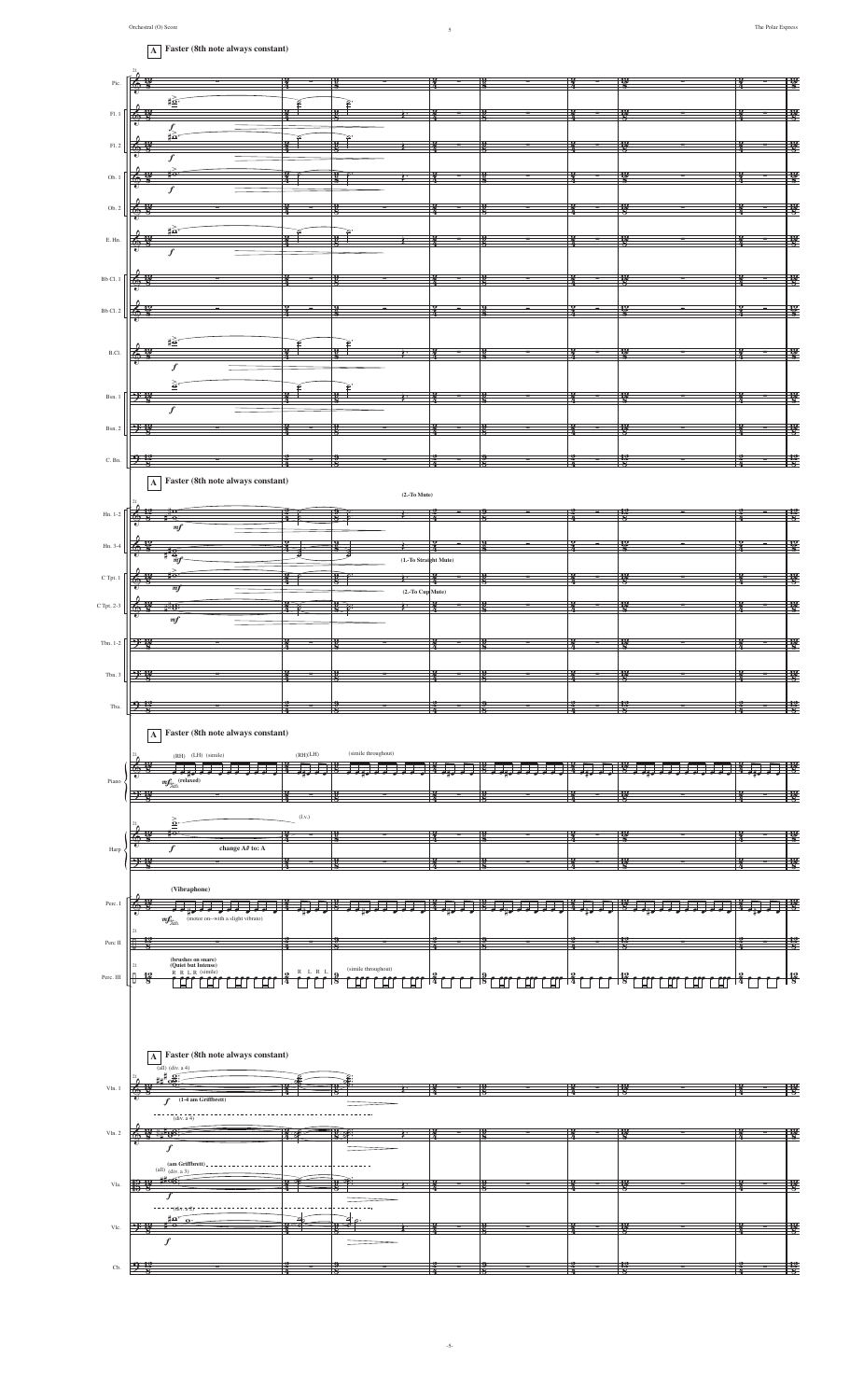| -12<br>$\mathop{\text{\rm Pic}}\nolimits.$<br>† <u>o</u> ∙<br>FL.1                                                  |                           |                                 |               |  |                                                                                                                                 |        |                |
|---------------------------------------------------------------------------------------------------------------------|---------------------------|---------------------------------|---------------|--|---------------------------------------------------------------------------------------------------------------------------------|--------|----------------|
|                                                                                                                     |                           |                                 |               |  |                                                                                                                                 |        | $\frac{12}{8}$ |
|                                                                                                                     |                           | f                               |               |  |                                                                                                                                 |        |                |
|                                                                                                                     |                           |                                 |               |  |                                                                                                                                 |        | $\frac{12}{8}$ |
| ¦e,                                                                                                                 |                           |                                 |               |  |                                                                                                                                 |        |                |
| $\rm Fl.$ 2<br>$\boldsymbol{f}$                                                                                     | 2                         | R                               |               |  |                                                                                                                                 |        | ₩              |
|                                                                                                                     |                           |                                 |               |  |                                                                                                                                 |        |                |
| Ob.1<br>6                                                                                                           |                           | 융                               |               |  |                                                                                                                                 |        | $\frac{12}{8}$ |
| $\boldsymbol{f}$                                                                                                    |                           |                                 |               |  |                                                                                                                                 |        |                |
| $\mbox{Ob.}2$                                                                                                       |                           |                                 |               |  |                                                                                                                                 |        | $\frac{12}{8}$ |
| ‡ó                                                                                                                  |                           |                                 |               |  |                                                                                                                                 |        |                |
|                                                                                                                     |                           |                                 |               |  |                                                                                                                                 |        | $\frac{12}{3}$ |
| $\boldsymbol{f}$                                                                                                    |                           |                                 |               |  |                                                                                                                                 |        |                |
| $\rm{Bb}$ Cl. $1$<br>$\overline{6}$                                                                                 |                           |                                 | ¥             |  |                                                                                                                                 | ¥      | $\frac{12}{8}$ |
|                                                                                                                     |                           |                                 |               |  |                                                                                                                                 |        |                |
| 6s                                                                                                                  |                           |                                 |               |  |                                                                                                                                 |        | $\frac{12}{8}$ |
|                                                                                                                     |                           |                                 |               |  |                                                                                                                                 |        |                |
| 嵖                                                                                                                   |                           |                                 |               |  |                                                                                                                                 |        |                |
| $rac{68}{10}$                                                                                                       |                           | ₽                               |               |  |                                                                                                                                 |        | $\frac{12}{8}$ |
| $\boldsymbol{f}$                                                                                                    |                           |                                 |               |  |                                                                                                                                 |        |                |
| $\frac{\geq}{\mathbf{e}}$                                                                                           |                           |                                 |               |  |                                                                                                                                 |        |                |
| 9 E                                                                                                                 |                           | ₽                               |               |  |                                                                                                                                 |        | $\frac{12}{8}$ |
| $\boldsymbol{f}$                                                                                                    |                           |                                 |               |  |                                                                                                                                 |        |                |
| うち                                                                                                                  |                           |                                 |               |  |                                                                                                                                 |        | $\frac{12}{3}$ |
|                                                                                                                     |                           |                                 |               |  |                                                                                                                                 |        |                |
| 学業                                                                                                                  |                           |                                 |               |  |                                                                                                                                 |        | $\frac{18}{3}$ |
|                                                                                                                     |                           |                                 |               |  |                                                                                                                                 |        |                |
| Faster (8th note always constant)<br>$\mathbf A$                                                                    |                           |                                 |               |  |                                                                                                                                 |        |                |
|                                                                                                                     |                           | $(2.\mbox{-}\mathrm{To\ Mute})$ |               |  |                                                                                                                                 |        |                |
|                                                                                                                     | î                         | Å                               |               |  |                                                                                                                                 |        | $\frac{12}{8}$ |
| $\it mf$                                                                                                            |                           |                                 |               |  |                                                                                                                                 |        |                |
|                                                                                                                     |                           | g<br>∗                          |               |  |                                                                                                                                 |        | ₩              |
| m                                                                                                                   |                           | (1.-To Straight Mute)           |               |  |                                                                                                                                 |        |                |
| ļΘ                                                                                                                  | $\frac{5}{4}$             | $\sqrt{3}$ $\degree$<br>Ì.      |               |  |                                                                                                                                 |        | ₩              |
| m <sub>j</sub>                                                                                                      |                           | (2.-To Cup Mute)                |               |  |                                                                                                                                 |        |                |
| ##8÷<br>6                                                                                                           | 阜                         | $\frac{9}{8}$ $\approx$<br>r    |               |  |                                                                                                                                 | ł      | $\frac{12}{8}$ |
| $\it mf$                                                                                                            |                           |                                 |               |  |                                                                                                                                 |        |                |
| ラマ                                                                                                                  |                           | 융                               |               |  |                                                                                                                                 | ž<br>Ξ | ∦∦             |
|                                                                                                                     |                           |                                 |               |  |                                                                                                                                 |        |                |
| $-9.48$                                                                                                             |                           | 꿪                               | ¥             |  | 꾱                                                                                                                               | 母      |                |
|                                                                                                                     |                           |                                 |               |  |                                                                                                                                 |        | $\frac{12}{8}$ |
|                                                                                                                     |                           |                                 |               |  |                                                                                                                                 |        |                |
| 9.1                                                                                                                 |                           |                                 |               |  |                                                                                                                                 |        | ť              |
| Faster (8th note always constant)<br>$\mathbf A$                                                                    |                           |                                 |               |  |                                                                                                                                 |        |                |
|                                                                                                                     |                           |                                 |               |  |                                                                                                                                 |        |                |
| (RH) (LH) (simile)                                                                                                  | $(RH)(LH)$                | (simile throughout)             |               |  |                                                                                                                                 |        | $\frac{1}{8}$  |
|                                                                                                                     |                           |                                 |               |  |                                                                                                                                 |        |                |
| ⊕<br>۵ø                                                                                                             |                           |                                 |               |  |                                                                                                                                 |        | $\frac{12}{8}$ |
| $m f_{\chi_{c0}}^{\rm (relaxed)}$                                                                                   |                           |                                 |               |  |                                                                                                                                 |        |                |
| $9 - 1$                                                                                                             |                           |                                 |               |  |                                                                                                                                 |        |                |
| $\overset{>}{\underline{\mathbf{o}}}$                                                                               | (l.v.)                    |                                 |               |  |                                                                                                                                 |        |                |
| $\frac{1}{2}$ $\Theta$ .<br>ſn                                                                                      |                           |                                 |               |  |                                                                                                                                 |        | $\frac{12}{8}$ |
| $\boldsymbol{f}$<br>change $\mathbf{A}\#$ to: $\mathbf{A}$                                                          |                           |                                 |               |  |                                                                                                                                 |        |                |
|                                                                                                                     |                           |                                 |               |  |                                                                                                                                 |        | $\frac{12}{8}$ |
|                                                                                                                     |                           |                                 |               |  |                                                                                                                                 |        |                |
| (Vibraphone)                                                                                                        |                           |                                 |               |  |                                                                                                                                 |        |                |
|                                                                                                                     |                           |                                 |               |  |                                                                                                                                 |        | $\frac{12}{8}$ |
| <u>) t</u><br>€<br>(motor on--with a slight vibrato)<br>$m f_{\chi_{c0}}$<br>$\overline{21}$                        |                           |                                 |               |  |                                                                                                                                 |        |                |
|                                                                                                                     |                           |                                 |               |  | 14                                                                                                                              |        |                |
|                                                                                                                     |                           |                                 |               |  |                                                                                                                                 |        | ₩              |
| $\begin{array}{c} {\bf (brushes\ on\ snare)}\\ {\bf (Quiet\ but\ Intense)} \end{array}$<br>$R$ $R$ $L$ $R$ (simile) | R L R L<br>$\overline{2}$ | (simile throughout)             |               |  |                                                                                                                                 |        |                |
| $\frac{12}{8}$<br>Ш<br>⊑                                                                                            | 4                         | 18<br>ш<br>ᄄ                    | $\frac{1}{4}$ |  | <del>   8    1210    1210    8    1210    1210    1210    1210    1210    1210    1210    1210    1210    1210    1210   </del> |        | $\frac{12}{8}$ |
|                                                                                                                     |                           |                                 |               |  |                                                                                                                                 |        |                |
|                                                                                                                     |                           |                                 |               |  |                                                                                                                                 |        |                |
| 21                                                                                                                  |                           |                                 |               |  |                                                                                                                                 |        |                |
| ℍ                                                                                                                   |                           |                                 |               |  |                                                                                                                                 |        |                |
| Faster (8th note always constant)<br>${\bf A}$                                                                      |                           |                                 |               |  |                                                                                                                                 |        |                |
| $(all)$ $(div. a 4)$<br>đ,                                                                                          |                           |                                 |               |  |                                                                                                                                 |        |                |
| க்                                                                                                                  |                           |                                 |               |  |                                                                                                                                 |        | $\mathbb{R}^2$ |
| (1-4 am Griffbrett)<br>$\boldsymbol{f}$                                                                             |                           |                                 |               |  |                                                                                                                                 |        |                |
| ⊕<br>$\bullet$<br>div. a 4)                                                                                         |                           | $- - -$                         |               |  |                                                                                                                                 |        |                |
| 4. fo8:                                                                                                             |                           |                                 |               |  |                                                                                                                                 |        |                |
| $\pmb{f}$                                                                                                           |                           |                                 |               |  |                                                                                                                                 |        | $\frac{12}{5}$ |
| 6<br>∙<br>(am Griffbrett) -                                                                                         |                           |                                 |               |  |                                                                                                                                 |        |                |
| $\left(\text{all}\right)$ $\left(\text{div, a 3}\right)$<br>‡#oe;                                                   |                           |                                 |               |  |                                                                                                                                 |        |                |
| $\mathbb{B} \, \mathbb{S}$<br>Ĵ                                                                                     |                           |                                 |               |  | 12                                                                                                                              |        | ∦              |
| $\vec{a}$ (div. a 2)                                                                                                |                           | ------                          |               |  |                                                                                                                                 |        |                |
| 1e<br>$\Omega$<br><u>ີ</u><br>⊸                                                                                     |                           |                                 |               |  |                                                                                                                                 |        |                |
| $\boldsymbol{f}$                                                                                                    |                           |                                 |               |  |                                                                                                                                 |        | $\frac{12}{8}$ |
|                                                                                                                     |                           |                                 |               |  |                                                                                                                                 |        | 쁗              |

-5-

**A Faster (8th note always constant)**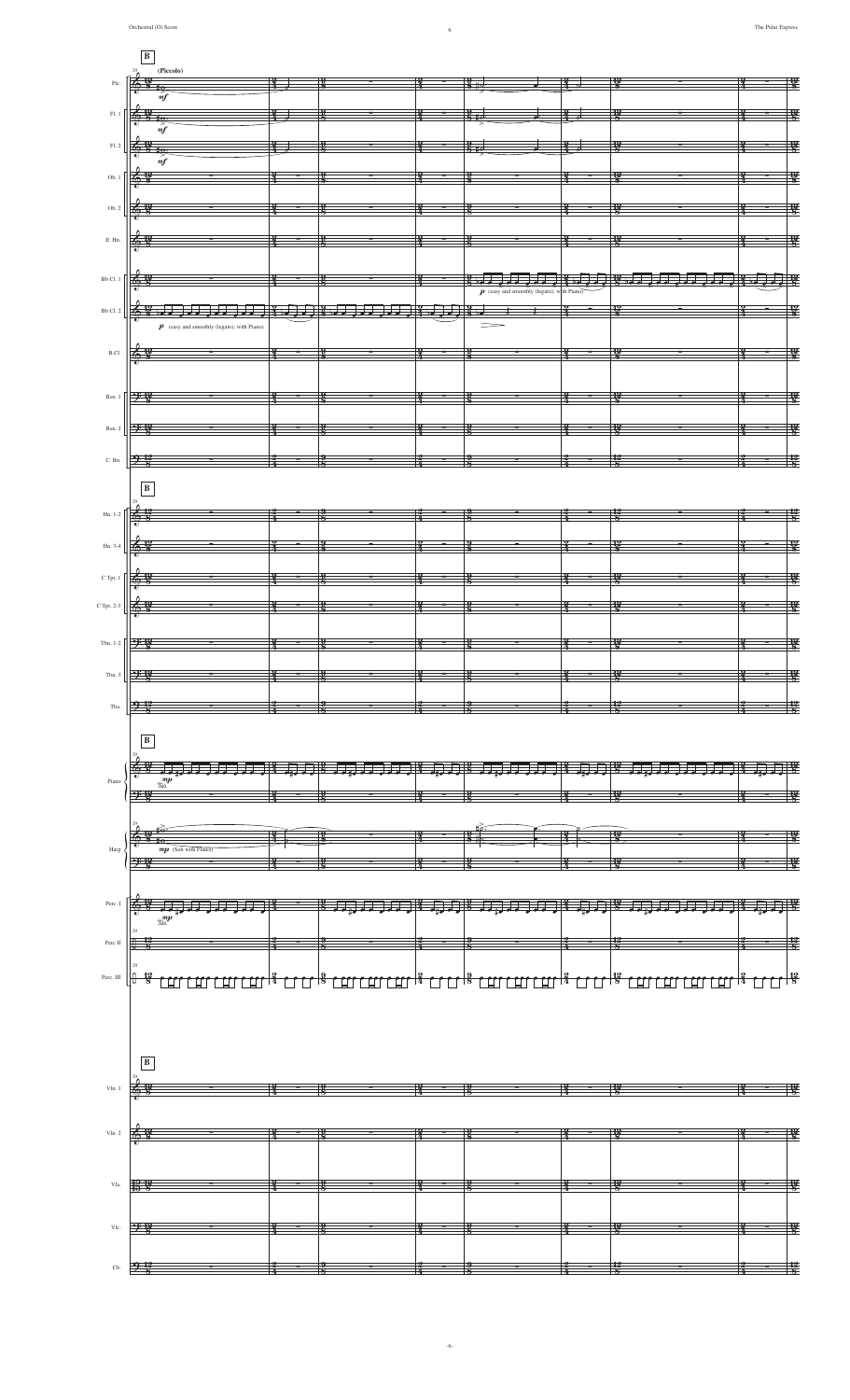|                                                             | $\overline{\mathbf{B}}$                                                                                                                                                                                                                                                                                                                                                                                             |   |                   |                                                                 |                                      |                                                                                                       |                                |                |
|-------------------------------------------------------------|---------------------------------------------------------------------------------------------------------------------------------------------------------------------------------------------------------------------------------------------------------------------------------------------------------------------------------------------------------------------------------------------------------------------|---|-------------------|-----------------------------------------------------------------|--------------------------------------|-------------------------------------------------------------------------------------------------------|--------------------------------|----------------|
| Pic.                                                        | (Piccolo)<br>$\ddot{\circ}$<br>ţσ.                                                                                                                                                                                                                                                                                                                                                                                  |   |                   |                                                                 |                                      |                                                                                                       |                                | ₩              |
| Fl. 1                                                       | m f<br>$\overline{6}$                                                                                                                                                                                                                                                                                                                                                                                               |   |                   |                                                                 |                                      |                                                                                                       |                                | $\frac{12}{8}$ |
| FL.2                                                        | m f<br>⊚<br>:چ‡                                                                                                                                                                                                                                                                                                                                                                                                     |   |                   |                                                                 |                                      |                                                                                                       |                                | <u> #</u>      |
| Ob.1                                                        | m f                                                                                                                                                                                                                                                                                                                                                                                                                 |   |                   |                                                                 |                                      |                                                                                                       |                                | $\frac{12}{8}$ |
|                                                             |                                                                                                                                                                                                                                                                                                                                                                                                                     |   |                   |                                                                 |                                      |                                                                                                       |                                |                |
| Ob.2                                                        | €                                                                                                                                                                                                                                                                                                                                                                                                                   |   |                   |                                                                 |                                      |                                                                                                       |                                | ₩              |
| ${\rm E.}$ Hn.                                              | $\blacklozenge$                                                                                                                                                                                                                                                                                                                                                                                                     |   |                   |                                                                 |                                      |                                                                                                       |                                | $\frac{1}{8}$  |
| Bb Cl. 1                                                    | 68                                                                                                                                                                                                                                                                                                                                                                                                                  |   |                   | 뾴                                                               | $\pm$ $\pm$ $\frac{12}{5}$<br>Ř<br>冠 |                                                                                                       | 7.71%                          |                |
| Bb Cl. 2                                                    | 68                                                                                                                                                                                                                                                                                                                                                                                                                  |   | $\Box$ , $\Box$ : | $\boldsymbol{p}$ (easy and smoothly (legato); with Piano)<br>Ţ. |                                      |                                                                                                       |                                | $\frac{12}{8}$ |
|                                                             | $\boldsymbol{p}$ (easy and smoothly (legato); with Piano)                                                                                                                                                                                                                                                                                                                                                           |   |                   |                                                                 |                                      |                                                                                                       |                                |                |
| B.Cl.                                                       | $\frac{1}{9}$                                                                                                                                                                                                                                                                                                                                                                                                       |   |                   |                                                                 |                                      |                                                                                                       |                                | ₩              |
|                                                             |                                                                                                                                                                                                                                                                                                                                                                                                                     |   |                   |                                                                 |                                      |                                                                                                       |                                |                |
| Bsn. 1                                                      | $-9.18$                                                                                                                                                                                                                                                                                                                                                                                                             |   |                   |                                                                 |                                      |                                                                                                       | ž                              | ₩              |
| Bsn. 2                                                      | $-9.13$                                                                                                                                                                                                                                                                                                                                                                                                             | ¥ |                   |                                                                 |                                      |                                                                                                       | ž                              | $\frac{12}{8}$ |
| C. Bn.                                                      | ジド                                                                                                                                                                                                                                                                                                                                                                                                                  |   |                   |                                                                 |                                      |                                                                                                       |                                | $\frac{12}{3}$ |
|                                                             | $\overline{\mathbf{B}}$                                                                                                                                                                                                                                                                                                                                                                                             |   |                   |                                                                 |                                      |                                                                                                       |                                |                |
| Hn. 1-2                                                     | 68                                                                                                                                                                                                                                                                                                                                                                                                                  |   |                   |                                                                 |                                      |                                                                                                       |                                | $\frac{12}{8}$ |
| Hn. 3-4                                                     | 6s                                                                                                                                                                                                                                                                                                                                                                                                                  |   |                   |                                                                 |                                      |                                                                                                       | ž                              | 憀              |
| $C$ Tpt. 1                                                  | $\frac{48}{9}$                                                                                                                                                                                                                                                                                                                                                                                                      |   |                   |                                                                 | ž                                    |                                                                                                       |                                | $\frac{12}{8}$ |
| C Tpt. 2-3                                                  | $6\frac{12}{5}$                                                                                                                                                                                                                                                                                                                                                                                                     |   |                   |                                                                 |                                      |                                                                                                       | ž                              | $\frac{12}{8}$ |
|                                                             |                                                                                                                                                                                                                                                                                                                                                                                                                     |   |                   |                                                                 |                                      |                                                                                                       |                                |                |
| Tbn. 1-2                                                    | うち                                                                                                                                                                                                                                                                                                                                                                                                                  |   |                   | 뀽                                                               | ¥<br>×                               | 쁑                                                                                                     | ž<br>÷                         | ₩              |
| Tbn. 3 $\left \left \frac{1}{2}, \frac{1}{8}\right \right $ |                                                                                                                                                                                                                                                                                                                                                                                                                     |   |                   |                                                                 |                                      |                                                                                                       | $\frac{2}{4}$                  | $\frac{12}{8}$ |
| Tba.                                                        | $2$ $\frac{12}{3}$                                                                                                                                                                                                                                                                                                                                                                                                  |   |                   |                                                                 |                                      |                                                                                                       |                                | 憀              |
|                                                             | $\boxed{\mathbf{B}}$                                                                                                                                                                                                                                                                                                                                                                                                |   |                   |                                                                 |                                      |                                                                                                       |                                |                |
|                                                             |                                                                                                                                                                                                                                                                                                                                                                                                                     |   |                   |                                                                 |                                      | عاندت وانتدنت نتدنيهان ث وانتدر التدنية وان ته والتدنية تنت                                           |                                |                |
|                                                             | $\begin{picture}(120,110) \put(0,0){\line(1,0){10}} \put(15,0){\line(1,0){10}} \put(15,0){\line(1,0){10}} \put(15,0){\line(1,0){10}} \put(15,0){\line(1,0){10}} \put(15,0){\line(1,0){10}} \put(15,0){\line(1,0){10}} \put(15,0){\line(1,0){10}} \put(15,0){\line(1,0){10}} \put(15,0){\line(1,0){10}} \put(15,0){\line(1,0){10}} \put(15,0){\line$<br>$\begin{array}{c}\n\bullet \\ \hline\n\end{array}$<br>(D. 18 |   |                   |                                                                 |                                      |                                                                                                       |                                |                |
|                                                             |                                                                                                                                                                                                                                                                                                                                                                                                                     |   |                   |                                                                 |                                      |                                                                                                       |                                |                |
|                                                             | $\begin{picture}(120,140)(-4.40,14.40) \put(10,14){\line(1,0){15}} \put(10,14){\line(1,0){15}} \put(10,14){\line(1,0){15}} \put(10,14){\line(1,0){15}} \put(10,14){\line(1,0){15}} \put(10,14){\line(1,0){15}} \put(10,14){\line(1,0){15}} \put(10,14){\line(1,0){15}} \put(10,14){\line(1,0){15}} \put(10,14){\line(1,0){15}} \put(10$                                                                             |   |                   | $\frac{1}{3}$ = $8\frac{1}{2}$ = $\frac{1}{3}$ = $\frac{1}{3}$  |                                      |                                                                                                       | $\frac{2}{4}$ $-\frac{12}{8}$  |                |
|                                                             |                                                                                                                                                                                                                                                                                                                                                                                                                     |   |                   |                                                                 |                                      |                                                                                                       |                                | 擇              |
|                                                             | 77777                                                                                                                                                                                                                                                                                                                                                                                                               |   |                   |                                                                 |                                      | ع ان ك و انت انت ان ك الله الله على الله الله الله الله الله على الله الله الله الله الله الله الله ا |                                |                |
|                                                             | Perc. I $\left[\begin{array}{ccc} 2 & 1 & 1 \\ 0 & 1 & 1 \\ 0 & 0 & 1 \end{array}\right]$                                                                                                                                                                                                                                                                                                                           |   |                   |                                                                 |                                      |                                                                                                       |                                |                |
| Perc II                                                     |                                                                                                                                                                                                                                                                                                                                                                                                                     |   |                   | $\sim$ $\frac{2}{4}$                                            | <u>—</u>                             |                                                                                                       |                                | $\frac{12}{3}$ |
|                                                             | <u>roo.iii ( 1 18 eereere eereere ere   3 eereere eere   3 eereere   3 eereere eer   3 eeree<sup>l</sup> 18 eereere eereere   3 eere<sup> </sup> 18 e</u>                                                                                                                                                                                                                                                           |   |                   |                                                                 |                                      |                                                                                                       |                                |                |
|                                                             |                                                                                                                                                                                                                                                                                                                                                                                                                     |   |                   |                                                                 |                                      |                                                                                                       |                                |                |
|                                                             |                                                                                                                                                                                                                                                                                                                                                                                                                     |   |                   |                                                                 |                                      |                                                                                                       |                                |                |
|                                                             | $\boxed{B}$                                                                                                                                                                                                                                                                                                                                                                                                         |   |                   |                                                                 |                                      |                                                                                                       |                                |                |
| $V\!In.$ $1$                                                | $\frac{1}{2}$                                                                                                                                                                                                                                                                                                                                                                                                       |   |                   |                                                                 |                                      | $\frac{12}{8}$                                                                                        |                                | $\frac{12}{8}$ |
|                                                             |                                                                                                                                                                                                                                                                                                                                                                                                                     |   |                   |                                                                 |                                      |                                                                                                       |                                |                |
| $\mathit{V}\mathit{ln}.$ 2                                  | $\frac{28}{98}$                                                                                                                                                                                                                                                                                                                                                                                                     |   |                   |                                                                 |                                      |                                                                                                       |                                | $\frac{12}{3}$ |
|                                                             |                                                                                                                                                                                                                                                                                                                                                                                                                     |   |                   |                                                                 |                                      |                                                                                                       |                                |                |
| Vla.                                                        | 书学                                                                                                                                                                                                                                                                                                                                                                                                                  |   |                   |                                                                 | B.                                   |                                                                                                       | $\frac{2}{4}$<br>÷             | ₩              |
| Vlc.                                                        | $9\frac{12}{5}$                                                                                                                                                                                                                                                                                                                                                                                                     |   |                   |                                                                 | $\frac{2}{3}$                        | 搜                                                                                                     | $\frac{2}{4}$<br>$\frac{1}{8}$ |                |
|                                                             |                                                                                                                                                                                                                                                                                                                                                                                                                     |   |                   |                                                                 |                                      |                                                                                                       |                                |                |
| Cb.                                                         | $9 - 18$                                                                                                                                                                                                                                                                                                                                                                                                            |   |                   |                                                                 |                                      |                                                                                                       |                                |                |

-6-